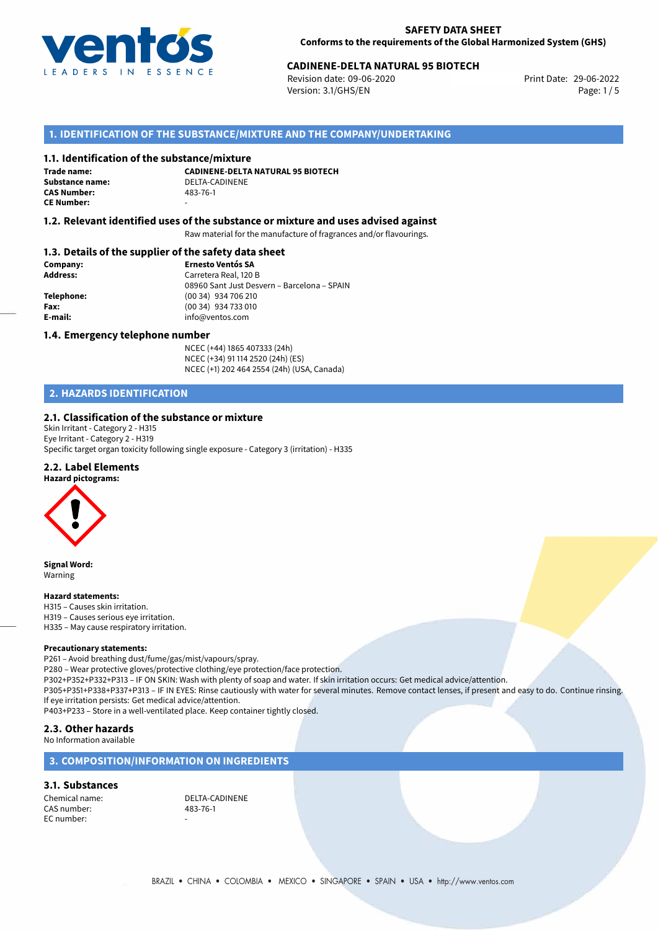

# 29-06-2022 **CADINENE-DELTA NATURAL 95 BIOTECH**

Revision date: 09-06-2020 Version: 3.1/GHS/EN Page: 1 / 5

## **1. IDENTIFICATION OF THE SUBSTANCE/MIXTURE AND THE COMPANY/UNDERTAKING**

### **1.1. Identification of the substance/mixture**

**Trade name: CAS Number: CE Number:** -

**CADINENE-DELTA NATURAL 95 BIOTECH Substance name:** DELTA-CADINENE

### **1.2. Relevant identified uses of the substance or mixture and uses advised against**

Raw material for the manufacture of fragrances and/or flavourings.

### **1.3. Details of the supplier of the safety data sheet**

| Company:        | <b>Ernesto Ventós SA</b>                    |  |
|-----------------|---------------------------------------------|--|
| <b>Address:</b> | Carretera Real, 120 B                       |  |
|                 | 08960 Sant Just Desvern - Barcelona - SPAIN |  |
| Telephone:      | (00 34) 934 706 210                         |  |
| Fax:            | (00 34) 934 733 010                         |  |
| E-mail:         | info@ventos.com                             |  |
|                 |                                             |  |

### **1.4. Emergency telephone number**

NCEC (+44) 1865 407333 (24h) NCEC (+34) 91 114 2520 (24h) (ES) NCEC (+1) 202 464 2554 (24h) (USA, Canada)

# **2. HAZARDS IDENTIFICATION**

### **2.1. Classification of the substance or mixture**

Skin Irritant - Category 2 - H315 Eye Irritant - Category 2 - H319 Specific target organ toxicity following single exposure - Category 3 (irritation) - H335

# **2.2. Label Elements**



**Signal Word:** Warning

#### **Hazard statements:**

H315 – Causes skin irritation. H319 – Causes serious eye irritation. H335 – May cause respiratory irritation.

### **Precautionary statements:**

P261 – Avoid breathing dust/fume/gas/mist/vapours/spray.

P280 – Wear protective gloves/protective clothing/eye protection/face protection.

P302+P352+P332+P313 – IF ON SKIN: Wash with plenty of soap and water. If skin irritation occurs: Get medical advice/attention.

P305+P351+P338+P337+P313 – IF IN EYES: Rinse cautiously with water for several minutes. Remove contact lenses, if present and easy to do. Continue rinsing. If eye irritation persists: Get medical advice/attention.

P403+P233 – Store in a well-ventilated place. Keep container tightly closed.

### **2.3. Other hazards**

No Information available

# **3. COMPOSITION/INFORMATION ON INGREDIENTS**

### **3.1. Substances**

CAS number: EC number:

Chemical name: DELTA-CADINENE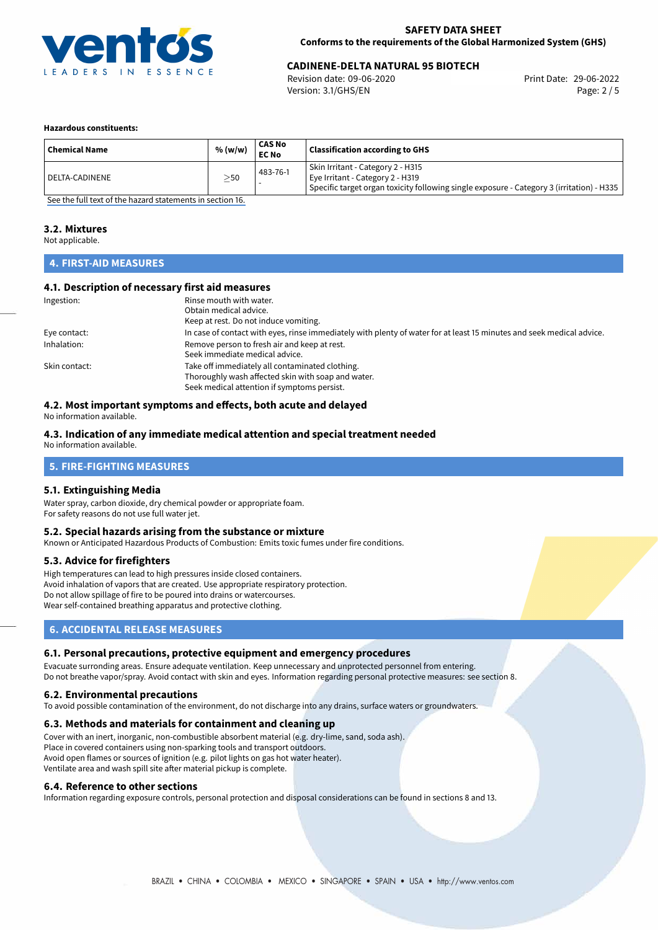

# 29-06-2022 **CADINENE-DELTA NATURAL 95 BIOTECH**

Revision date: 09-06-2020 Version: 3.1/GHS/EN Page: 2 / 5

### **Hazardous constituents:**

| <b>Chemical Name</b> | % (w/w)   | <b>CAS No</b><br><b>EC No</b> | <b>Classification according to GHS</b>                                                                                                                               |
|----------------------|-----------|-------------------------------|----------------------------------------------------------------------------------------------------------------------------------------------------------------------|
| l DELTA-CADINENE     | $\geq$ 50 | 483-76-1                      | Skin Irritant - Category 2 - H315<br>Eye Irritant - Category 2 - H319<br>  Specific target organ toxicity following single exposure - Category 3 (irritation) - H335 |

[See the full text of the hazard statements in section 16.](#page-4-0)

### **3.2. Mixtures**

Not applicable.

# **4. FIRST-AID MEASURES**

### **4.1. Description of necessary first aid measures**

| Ingestion:    | Rinse mouth with water.                                                                                               |
|---------------|-----------------------------------------------------------------------------------------------------------------------|
|               | Obtain medical advice.                                                                                                |
|               | Keep at rest. Do not induce vomiting.                                                                                 |
| Eye contact:  | In case of contact with eyes, rinse immediately with plenty of water for at least 15 minutes and seek medical advice. |
| Inhalation:   | Remove person to fresh air and keep at rest.                                                                          |
|               | Seek immediate medical advice.                                                                                        |
| Skin contact: | Take off immediately all contaminated clothing.                                                                       |
|               | Thoroughly wash affected skin with soap and water.                                                                    |
|               | Seek medical attention if symptoms persist.                                                                           |

## **4.2. Most important symptoms and effects, both acute and delayed**

No information available.

### **4.3. Indication of any immediate medical attention and special treatment needed**

No information available.

# **5. FIRE-FIGHTING MEASURES**

### **5.1. Extinguishing Media**

Water spray, carbon dioxide, dry chemical powder or appropriate foam. For safety reasons do not use full water jet.

### **5.2. Special hazards arising from the substance or mixture**

Known or Anticipated Hazardous Products of Combustion: Emits toxic fumes under fire conditions.

### **5.3. Advice for firefighters**

High temperatures can lead to high pressures inside closed containers. Avoid inhalation of vapors that are created. Use appropriate respiratory protection. Do not allow spillage of fire to be poured into drains or watercourses. Wear self-contained breathing apparatus and protective clothing.

## **6. ACCIDENTAL RELEASE MEASURES**

### **6.1. Personal precautions, protective equipment and emergency procedures**

Evacuate surronding areas. Ensure adequate ventilation. Keep unnecessary and unprotected personnel from entering. Do not breathe vapor/spray. Avoid contact with skin and eyes. Information regarding personal protective measures: see section 8.

### **6.2. Environmental precautions**

To avoid possible contamination of the environment, do not discharge into any drains, surface waters or groundwaters.

### **6.3. Methods and materials for containment and cleaning up**

Cover with an inert, inorganic, non-combustible absorbent material (e.g. dry-lime, sand, soda ash). Place in covered containers using non-sparking tools and transport outdoors. Avoid open flames or sources of ignition (e.g. pilot lights on gas hot water heater). Ventilate area and wash spill site after material pickup is complete.

### **6.4. Reference to other sections**

Information regarding exposure controls, personal protection and disposal considerations can be found in sections 8 and 13.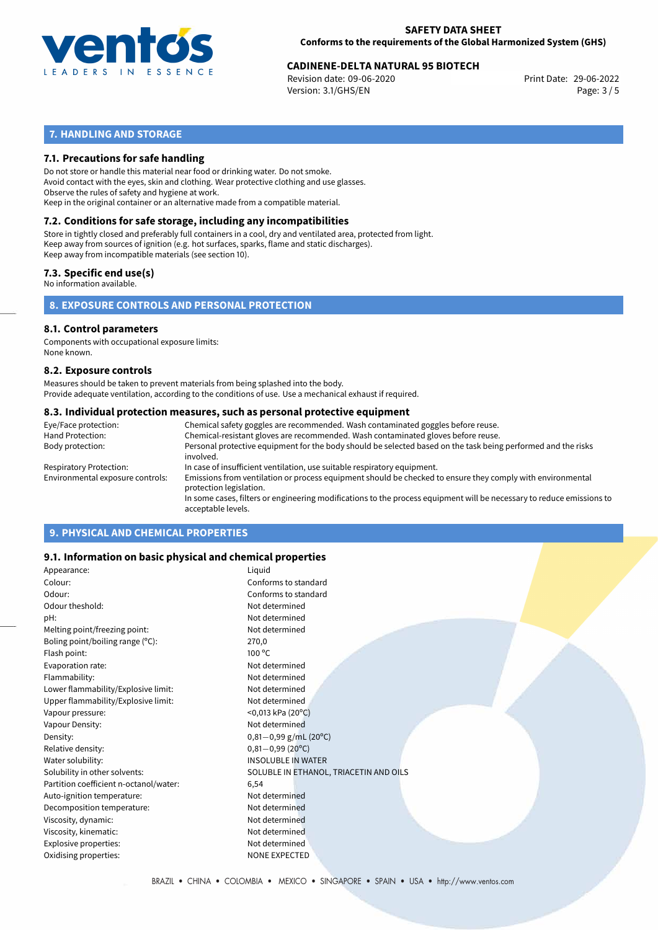

# 29-06-2022 **CADINENE-DELTA NATURAL 95 BIOTECH**

Revision date: 09-06-2020 Version: 3.1/GHS/EN Page: 3 / 5

# **7. HANDLING AND STORAGE**

## **7.1. Precautions for safe handling**

Do not store or handle this material near food or drinking water. Do not smoke. Avoid contact with the eyes, skin and clothing. Wear protective clothing and use glasses. Observe the rules of safety and hygiene at work. Keep in the original container or an alternative made from a compatible material.

# **7.2. Conditions for safe storage, including any incompatibilities**

Store in tightly closed and preferably full containers in a cool, dry and ventilated area, protected from light. Keep away from sources of ignition (e.g. hot surfaces, sparks, flame and static discharges). Keep away from incompatible materials (see section 10).

### **7.3. Specific end use(s)**

No information available.

**8. EXPOSURE CONTROLS AND PERSONAL PROTECTION**

### **8.1. Control parameters**

Components with occupational exposure limits: None known.

### **8.2. Exposure controls**

Measures should be taken to prevent materials from being splashed into the body. Provide adequate ventilation, according to the conditions of use. Use a mechanical exhaust if required.

### **8.3. Individual protection measures, such as personal protective equipment**

| Eye/Face protection:             | Chemical safety goggles are recommended. Wash contaminated goggles before reuse.                                                            |  |  |  |
|----------------------------------|---------------------------------------------------------------------------------------------------------------------------------------------|--|--|--|
| Hand Protection:                 | Chemical-resistant gloves are recommended. Wash contaminated gloves before reuse.                                                           |  |  |  |
| Body protection:                 | Personal protective equipment for the body should be selected based on the task being performed and the risks<br>involved.                  |  |  |  |
| Respiratory Protection:          | In case of insufficient ventilation, use suitable respiratory equipment.                                                                    |  |  |  |
| Environmental exposure controls: | Emissions from ventilation or process equipment should be checked to ensure they comply with environmental<br>protection legislation.       |  |  |  |
|                                  | In some cases, filters or engineering modifications to the process equipment will be necessary to reduce emissions to<br>acceptable levels. |  |  |  |
|                                  |                                                                                                                                             |  |  |  |

# **9. PHYSICAL AND CHEMICAL PROPERTIES**

### **9.1. Information on basic physical and chemical properties**

| Appearance:                            | Liquid                                 |
|----------------------------------------|----------------------------------------|
| Colour:                                | Conforms to standard                   |
| Odour:                                 | Conforms to standard                   |
| Odour theshold:                        | Not determined                         |
| pH:                                    | Not determined                         |
| Melting point/freezing point:          | Not determined                         |
| Boling point/boiling range (°C):       | 270,0                                  |
| Flash point:                           | $100^{\circ}$ C                        |
| Evaporation rate:                      | Not determined                         |
| Flammability:                          | Not determined                         |
| Lower flammability/Explosive limit:    | Not determined                         |
| Upper flammability/Explosive limit:    | Not determined                         |
| Vapour pressure:                       | $<$ 0,013 kPa (20 $^{\circ}$ C)        |
| Vapour Density:                        | Not determined                         |
| Density:                               | $0,81-0,99$ g/mL (20°C)                |
| Relative density:                      | $0,81 - 0,99(20°C)$                    |
| Water solubility:                      | <b>INSOLUBLE IN WATER</b>              |
| Solubility in other solvents:          | SOLUBLE IN ETHANOL, TRIACETIN AND OILS |
| Partition coefficient n-octanol/water: | 6,54                                   |
| Auto-ignition temperature:             | Not determined                         |
| Decomposition temperature:             | Not determined                         |
| Viscosity, dynamic:                    | Not determined                         |
| Viscosity, kinematic:                  | Not determined                         |
| Explosive properties:                  | Not determined                         |
| Oxidising properties:                  | <b>NONE EXPECTED</b>                   |
|                                        |                                        |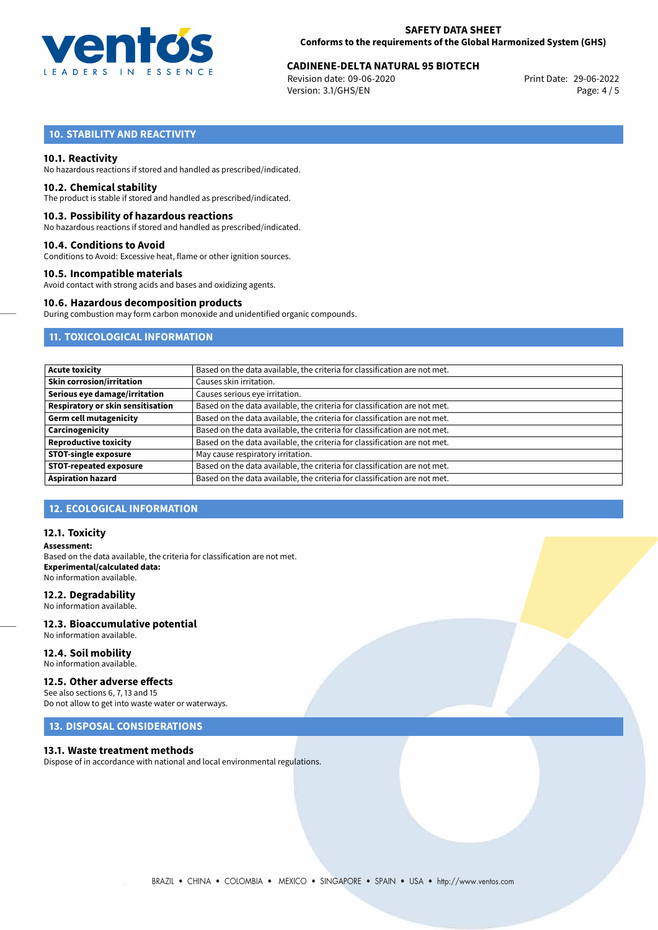

# 29-06-2022 **CADINENE-DELTA NATURAL 95 BIOTECH**

Revision date: 09-06-2020 Version: 3.1/GHS/EN Page: 4 / 5

# **10. STABILITY AND REACTIVITY**

### **10.1. Reactivity**

No hazardous reactions if stored and handled as prescribed/indicated.

### **10.2. Chemical stability**

The product is stable if stored and handled as prescribed/indicated.

### **10.3. Possibility of hazardous reactions**

No hazardous reactions if stored and handled as prescribed/indicated.

### **10.4. Conditions to Avoid**

Conditions to Avoid: Excessive heat, flame or other ignition sources.

### **10.5. Incompatible materials**

Avoid contact with strong acids and bases and oxidizing agents.

### **10.6. Hazardous decomposition products**

During combustion may form carbon monoxide and unidentified organic compounds.

# **11. TOXICOLOGICAL INFORMATION**

| <b>Acute toxicity</b>                    | Based on the data available, the criteria for classification are not met. |
|------------------------------------------|---------------------------------------------------------------------------|
| <b>Skin corrosion/irritation</b>         | Causes skin irritation.                                                   |
| Serious eye damage/irritation            | Causes serious eye irritation.                                            |
| <b>Respiratory or skin sensitisation</b> | Based on the data available, the criteria for classification are not met. |
| <b>Germ cell mutagenicity</b>            | Based on the data available, the criteria for classification are not met. |
| Carcinogenicity                          | Based on the data available, the criteria for classification are not met. |
| <b>Reproductive toxicity</b>             | Based on the data available, the criteria for classification are not met. |
| <b>STOT-single exposure</b>              | May cause respiratory irritation.                                         |
| <b>STOT-repeated exposure</b>            | Based on the data available, the criteria for classification are not met. |
| <b>Aspiration hazard</b>                 | Based on the data available, the criteria for classification are not met. |

# **12. ECOLOGICAL INFORMATION**

### **12.1. Toxicity**

**Assessment:** Based on the data available, the criteria for classification are not met. **Experimental/calculated data:** No information available.

### **12.2. Degradability**

No information available.

### **12.3. Bioaccumulative potential** No information available.

**12.4. Soil mobility** No information available.

## **12.5. Other adverse effects**

See also sections 6, 7, 13 and 15 Do not allow to get into waste water or waterways.

# **13. DISPOSAL CONSIDERATIONS**

### **13.1. Waste treatment methods**

Dispose of in accordance with national and local environmental regulations.